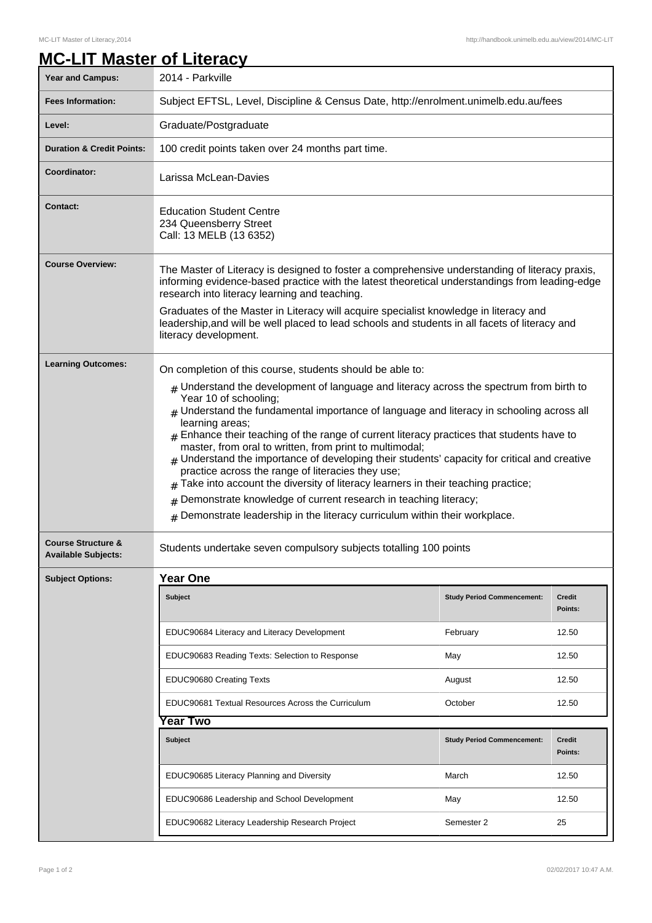## **MC-LIT Master of Literacy**

| <b>Year and Campus:</b>                                     | 2014 - Parkville                                                                                                                                                                                                                                                                                                                                                                                                                                                                                                                                                                                                                                                                                                                                                                                       |                                   |                          |
|-------------------------------------------------------------|--------------------------------------------------------------------------------------------------------------------------------------------------------------------------------------------------------------------------------------------------------------------------------------------------------------------------------------------------------------------------------------------------------------------------------------------------------------------------------------------------------------------------------------------------------------------------------------------------------------------------------------------------------------------------------------------------------------------------------------------------------------------------------------------------------|-----------------------------------|--------------------------|
| <b>Fees Information:</b>                                    | Subject EFTSL, Level, Discipline & Census Date, http://enrolment.unimelb.edu.au/fees                                                                                                                                                                                                                                                                                                                                                                                                                                                                                                                                                                                                                                                                                                                   |                                   |                          |
| Level:                                                      | Graduate/Postgraduate                                                                                                                                                                                                                                                                                                                                                                                                                                                                                                                                                                                                                                                                                                                                                                                  |                                   |                          |
| <b>Duration &amp; Credit Points:</b>                        | 100 credit points taken over 24 months part time.                                                                                                                                                                                                                                                                                                                                                                                                                                                                                                                                                                                                                                                                                                                                                      |                                   |                          |
| Coordinator:                                                | Larissa McLean-Davies                                                                                                                                                                                                                                                                                                                                                                                                                                                                                                                                                                                                                                                                                                                                                                                  |                                   |                          |
| Contact:                                                    | <b>Education Student Centre</b><br>234 Queensberry Street<br>Call: 13 MELB (13 6352)                                                                                                                                                                                                                                                                                                                                                                                                                                                                                                                                                                                                                                                                                                                   |                                   |                          |
| <b>Course Overview:</b>                                     | The Master of Literacy is designed to foster a comprehensive understanding of literacy praxis,<br>informing evidence-based practice with the latest theoretical understandings from leading-edge<br>research into literacy learning and teaching.                                                                                                                                                                                                                                                                                                                                                                                                                                                                                                                                                      |                                   |                          |
|                                                             | Graduates of the Master in Literacy will acquire specialist knowledge in literacy and<br>leadership, and will be well placed to lead schools and students in all facets of literacy and<br>literacy development.                                                                                                                                                                                                                                                                                                                                                                                                                                                                                                                                                                                       |                                   |                          |
| <b>Learning Outcomes:</b>                                   | On completion of this course, students should be able to:                                                                                                                                                                                                                                                                                                                                                                                                                                                                                                                                                                                                                                                                                                                                              |                                   |                          |
|                                                             | $#$ Understand the development of language and literacy across the spectrum from birth to<br>Year 10 of schooling;<br>$#$ Understand the fundamental importance of language and literacy in schooling across all<br>learning areas;<br>$_{\#}$ Enhance their teaching of the range of current literacy practices that students have to<br>master, from oral to written, from print to multimodal;<br>$#$ Understand the importance of developing their students' capacity for critical and creative<br>practice across the range of literacies they use;<br>Take into account the diversity of literacy learners in their teaching practice;<br>Demonstrate knowledge of current research in teaching literacy;<br>#<br>Demonstrate leadership in the literacy curriculum within their workplace.<br># |                                   |                          |
| <b>Course Structure &amp;</b><br><b>Available Subjects:</b> | Students undertake seven compulsory subjects totalling 100 points                                                                                                                                                                                                                                                                                                                                                                                                                                                                                                                                                                                                                                                                                                                                      |                                   |                          |
| <b>Subject Options:</b>                                     | <b>Year One</b>                                                                                                                                                                                                                                                                                                                                                                                                                                                                                                                                                                                                                                                                                                                                                                                        |                                   |                          |
|                                                             | <b>Subject</b>                                                                                                                                                                                                                                                                                                                                                                                                                                                                                                                                                                                                                                                                                                                                                                                         | <b>Study Period Commencement:</b> | Credit<br>Points:        |
|                                                             | EDUC90684 Literacy and Literacy Development                                                                                                                                                                                                                                                                                                                                                                                                                                                                                                                                                                                                                                                                                                                                                            | February                          | 12.50                    |
|                                                             | EDUC90683 Reading Texts: Selection to Response                                                                                                                                                                                                                                                                                                                                                                                                                                                                                                                                                                                                                                                                                                                                                         | May                               | 12.50                    |
|                                                             | EDUC90680 Creating Texts                                                                                                                                                                                                                                                                                                                                                                                                                                                                                                                                                                                                                                                                                                                                                                               | August                            | 12.50                    |
|                                                             | EDUC90681 Textual Resources Across the Curriculum                                                                                                                                                                                                                                                                                                                                                                                                                                                                                                                                                                                                                                                                                                                                                      | October                           | 12.50                    |
|                                                             | ear Two                                                                                                                                                                                                                                                                                                                                                                                                                                                                                                                                                                                                                                                                                                                                                                                                |                                   |                          |
|                                                             | <b>Subject</b>                                                                                                                                                                                                                                                                                                                                                                                                                                                                                                                                                                                                                                                                                                                                                                                         | <b>Study Period Commencement:</b> | <b>Credit</b><br>Points: |
|                                                             | EDUC90685 Literacy Planning and Diversity                                                                                                                                                                                                                                                                                                                                                                                                                                                                                                                                                                                                                                                                                                                                                              | March                             | 12.50                    |
|                                                             | EDUC90686 Leadership and School Development                                                                                                                                                                                                                                                                                                                                                                                                                                                                                                                                                                                                                                                                                                                                                            | May                               | 12.50                    |
|                                                             | EDUC90682 Literacy Leadership Research Project                                                                                                                                                                                                                                                                                                                                                                                                                                                                                                                                                                                                                                                                                                                                                         | Semester 2                        | 25                       |